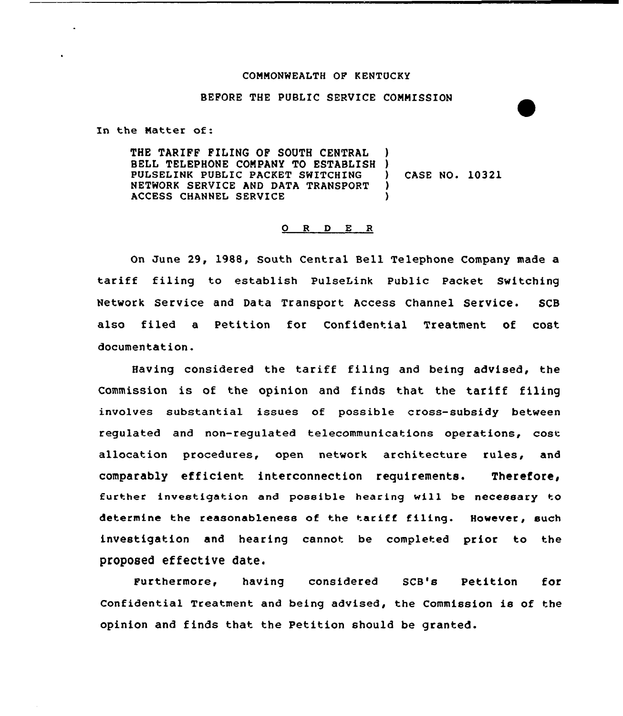#### CONNONWEALTH OF KENTUCKY

#### BEFORE THE PUBLIC SERVICE COMMISSION

In the Natter of:

THE TARIFF FILING OF SOUTH CENTRAL BELL TELEPHONE CONPANY TO ESTABLISH PULSELINK PUBLIC PACKET SWITCHING NETWORK SERVICE AND DATA TRANSPORT ACCESS CHANNEL SERVICE ) ) ) CASE NO. 10321 ) )

### 0 <sup>R</sup> <sup>D</sup> E R

On June 29, 198B, South Central Bell Telephone Company made a tariff filing to establish PulseLink Public Packet Switching Network Service and Data Transport Access Channel Service. SCB also filed a Petition for Confidential Treatment of cost documentation.

Having considered the tariff filing and being advised, the Commission is of the opinion and finds that the tariff filing involves substantial issues of possible cross-subsidy between regulated and non-regulated telecommunications operations, cost allocation procedures, open network architecture rules, and comparably efficient interconnection requirements. Therefore, further investigation and poeeible hearing will be necessary to determine the reasonableness of the tariff filing. However, such investigation and hearing cannot be completed prior to the proposed effective date.

Furthermore, having considered SCB's Petition for Confidential Treatment and being advised, the Commission is of the opinion and finds that the Petition should be granted.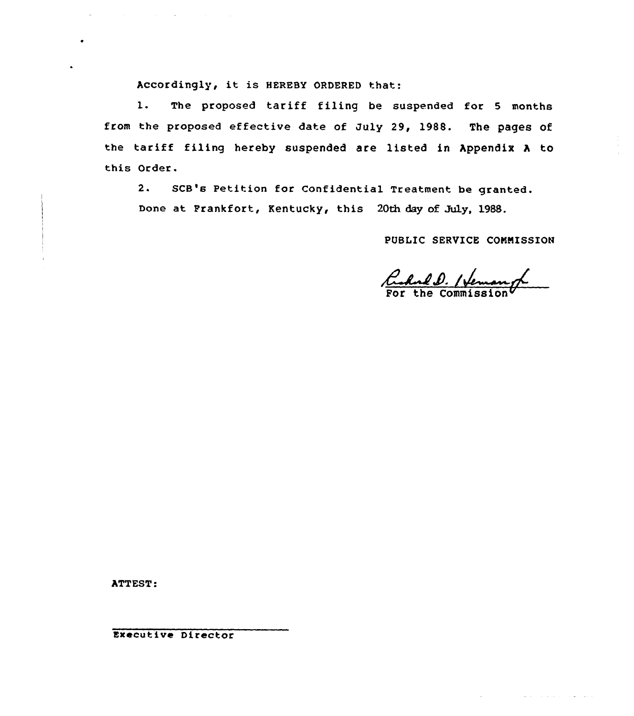Accordingly, it is HEREBY ORDERED that:

 $\mathcal{L}^{\mathcal{L}}$  and  $\mathcal{L}^{\mathcal{L}}$  are the set of the set of the set of the set of  $\mathcal{L}^{\mathcal{L}}$ 

1. The proposed tariff filing be suspended for <sup>5</sup> months from the proposed effective date of July 29, 1988. The pages of the tariff filing hereby suspended are listed in Appendix <sup>A</sup> to this Order.

2. SCB's Petition for Confidential Treatment be granted. Done at Frankfort, Kentucky, this 20th day of July, 1988.

PUBLIC SERVICE CONNISSION

Ruhald. Hemang

المتفاعله والمتعاط والمتعارف

ATTEST:

Executive Director